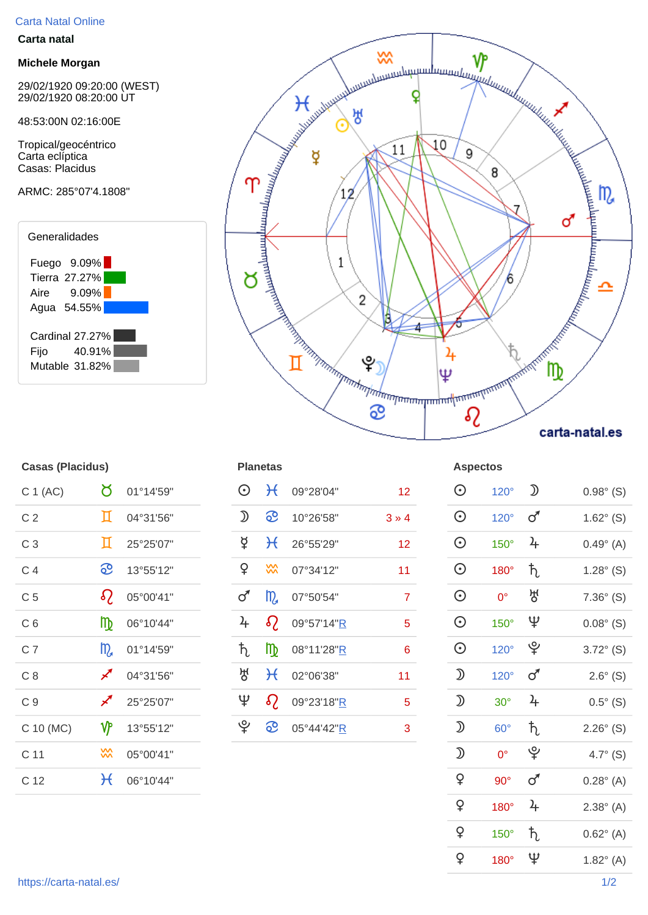## Carta Natal Online

## **Carta natal**

## **Michele Morgan**

29/02/1920 09:20:00 (WEST) 29/02/1920 08:20:00 UT

48:53:00N 02:16:00E

Tropical/geocéntrico Carta eclíptica Casas: Placidus







| <b>Casas (Placidus)</b> |                |           |  |  |  |  |  |
|-------------------------|----------------|-----------|--|--|--|--|--|
| C 1 (AC)                | ර              | 01°14'59" |  |  |  |  |  |
| C <sub>2</sub>          | Д              | 04°31'56" |  |  |  |  |  |
| C <sub>3</sub>          | Д              | 25°25'07" |  |  |  |  |  |
| C 4                     | ව              | 13°55'12" |  |  |  |  |  |
| C <sub>5</sub>          | $\Omega$       | 05°00'41" |  |  |  |  |  |
| C <sub>6</sub>          | ₥              | 06°10'44" |  |  |  |  |  |
| C <sub>7</sub>          | $\mathfrak{m}$ | 01°14'59" |  |  |  |  |  |
| C <sub>8</sub>          | ∕∕             | 04°31'56" |  |  |  |  |  |
| C <sub>9</sub>          | ∕∕             | 25°25'07" |  |  |  |  |  |
| C 10 (MC)               | ۷۴             | 13°55'12" |  |  |  |  |  |
| C 11                    | ⋙              | 05°00'41" |  |  |  |  |  |
| C 12                    | $\mathcal H$   | 06°10'44" |  |  |  |  |  |

| Uasas (Liaviuus) |                            |           |               | l lalitud      |                    |                 | <b>ASPECIUS</b>                                                                                         |             |               |                    |
|------------------|----------------------------|-----------|---------------|----------------|--------------------|-----------------|---------------------------------------------------------------------------------------------------------|-------------|---------------|--------------------|
| C 1 (AC)         | ୪                          | 01°14'59" | $\odot$       | $\mathcal{H}$  | 09°28'04"          | 12 <sub>2</sub> | $\odot$                                                                                                 | $120^\circ$ | $\mathcal{D}$ | $0.98^{\circ}$ (S) |
| C <sub>2</sub>   | П                          | 04°31'56" | ℌ             | <u>ေ</u>       | 10°26'58"          | $3*4$           | $\odot$                                                                                                 | $120^\circ$ | $\sigma$      | $1.62^{\circ}$ (S) |
| C <sub>3</sub>   | п                          | 25°25'07" | $\sharp$      | $H_{\rm c}$    | 26°55'29"          | 12 <sub>2</sub> | $\odot$                                                                                                 | $150^\circ$ | $\frac{1}{2}$ | $0.49^{\circ}$ (A) |
| C <sub>4</sub>   | <u>ေ</u>                   | 13°55'12" | $\mathsf{Q}$  | $\frac{2}{3}$  | 07°34'12"          | 11              | $\odot$                                                                                                 | $180^\circ$ | $\hbar$       | $1.28^{\circ}$ (S) |
| C <sub>5</sub>   | $\Omega$                   | 05°00'41" | ♂             | m <sub>a</sub> | 07°50'54"          | $\overline{7}$  | $\odot$                                                                                                 | $0^{\circ}$ | 생             | $7.36^{\circ}$ (S) |
| C <sub>6</sub>   | m                          | 06°10'44" | $\frac{1}{4}$ | $\delta$       | 09°57'14"R         | $5\phantom{.0}$ | $\odot$                                                                                                 | $150^\circ$ | Ψ             | $0.08^{\circ}$ (S) |
| C <sub>7</sub>   | $m_a$                      | 01°14'59" | ħ,            | m <sub>o</sub> | 08°11'28" <u>R</u> | $6\phantom{1}$  | $\odot$                                                                                                 | $120^\circ$ | ೪             | $3.72^{\circ}$ (S) |
| C8               | ∕                          | 04°31'56" | 생             | $H_{\rm}$      | 02°06'38"          | 11              | $\mathfrak{D}% _{T}=\mathfrak{D}_{T}\!\left( a,b\right) ,\ \mathfrak{D}_{T}=C_{T}\!\left( a,b\right) ,$ | $120^\circ$ | $\sigma$      | $2.6^{\circ}$ (S)  |
| C <sub>9</sub>   | $\boldsymbol{\mathscr{J}}$ | 25°25'07" | Ψ             | $\Omega$       | 09°23'18"R         | 5               | $\mathfrak D$                                                                                           | $30^\circ$  | $\frac{1}{2}$ | $0.5^{\circ}$ (S)  |
| C 10 (MC)        | ۷Ρ                         | 13°55'12" | ৺             | <u> က</u>      | 05°44'42"R         | 3               | $\mathfrak D$                                                                                           | $60^\circ$  | $\hbar$       | $2.26^{\circ}$ (S) |
|                  |                            |           |               |                |                    |                 |                                                                                                         |             |               |                    |

| oaoao <sub>(*</sub> 1aviuno <i>)</i> |                    |           |                |                 |            |                | 1.9899190                                                                                               |             |               |                    |
|--------------------------------------|--------------------|-----------|----------------|-----------------|------------|----------------|---------------------------------------------------------------------------------------------------------|-------------|---------------|--------------------|
| C 1 (AC)                             | ŏ                  | 01°14'59" | $\odot$        | $\mathcal{H}$   | 09°28'04"  | 12             | $\odot$                                                                                                 | $120^\circ$ | $\mathfrak D$ | $0.98^{\circ}$ (S) |
| C <sub>2</sub>                       | Д                  | 04°31'56" | $\mathfrak D$  | <u>ေ</u>        | 10°26'58"  | $3 \times 4$   | $\odot$                                                                                                 | $120^\circ$ | $\sigma$      | $1.62^{\circ}$ (S) |
| C <sub>3</sub>                       | Д                  | 25°25'07" | $\beta$        | $\mathcal{H}$   | 26°55'29"  | 12             | $\odot$                                                                                                 | $150^\circ$ | $\frac{1}{2}$ | $0.49^{\circ}$ (A) |
| C <sub>4</sub>                       | <u>ေ</u>           | 13°55'12" | $\mathsf{P}$   | $\frac{20}{20}$ | 07°34'12"  | 11             | $\odot$                                                                                                 | 180°        | ħ,            | $1.28^{\circ}$ (S) |
| C <sub>5</sub>                       | $\Omega$           | 05°00'41" | $\sigma$       | m <sub>a</sub>  | 07°50'54"  | $\overline{7}$ | $\odot$                                                                                                 | $0^{\circ}$ | ਲ੍ਹ           | $7.36^{\circ}$ (S) |
| C <sub>6</sub>                       | m                  | 06°10'44" | $\frac{1}{2}$  | $\Omega$        | 09°57'14"R | $\overline{5}$ | $\odot$                                                                                                 | $150^\circ$ | Ψ             | $0.08^{\circ}$ (S) |
| C <sub>7</sub>                       | m                  | 01°14'59" | $\hbar$        | m               | 08°11'28"R | $\bf 6$        | $\odot$                                                                                                 | $120^\circ$ | ပ္န           | $3.72^{\circ}$ (S) |
| C8                                   | ∕                  | 04°31'56" | ਲ੍ਹ            | $\mathcal{H}$   | 02°06'38"  | 11             | $\mathfrak D$                                                                                           | 120°        | $\sigma$      | $2.6^{\circ}$ (S)  |
| C <sub>9</sub>                       | ∕                  | 25°25'07" | $\mathfrak{P}$ | $\Omega$        | 09°23'18"R | $\overline{5}$ | $\mathfrak{D}% _{T}=\mathfrak{D}_{T}\!\left( a,b\right) ,\ \mathfrak{D}_{T}=C_{T}\!\left( a,b\right) ,$ | $30^\circ$  | $\frac{1}{2}$ | $0.5^{\circ}$ (S)  |
| C 10 (MC)                            | $\mathbf{\hat{y}}$ | 13°55'12" |                | <u>ေ</u>        | 05°44'42"R | 3              | $\mathfrak D$                                                                                           | $60^\circ$  | $\hbar$       | $2.26^{\circ}$ (S) |
| C <sub>11</sub>                      | XX                 | 05°00'41" |                |                 |            |                | $\mathfrak{D}% _{T}=\mathfrak{D}_{T}\!\left( a,b\right) ,\ \mathfrak{D}_{T}=C_{T}\!\left( a,b\right) ,$ | $0^{\circ}$ | ৺             | $4.7^{\circ}$ (S)  |
| C <sub>12</sub>                      | $\mathcal{H}$      | 06°10'44" |                |                 |            |                | $\mathsf{P}$                                                                                            | $90^\circ$  | $\sigma$      | $0.28^{\circ}$ (A) |
|                                      |                    |           |                |                 |            |                | $\mathsf{Q}$                                                                                            | 180°        | $\frac{1}{2}$ | $2.38^{\circ}$ (A) |
|                                      |                    |           |                |                 |            |                | $\mathsf{Q}$                                                                                            | $150^\circ$ | $\hbar$       | $0.62^{\circ}$ (A) |
|                                      |                    |           |                |                 |            |                | $\mathsf{P}$                                                                                            | 180°        | $\Psi$        | $1.82^{\circ}$ (A) |